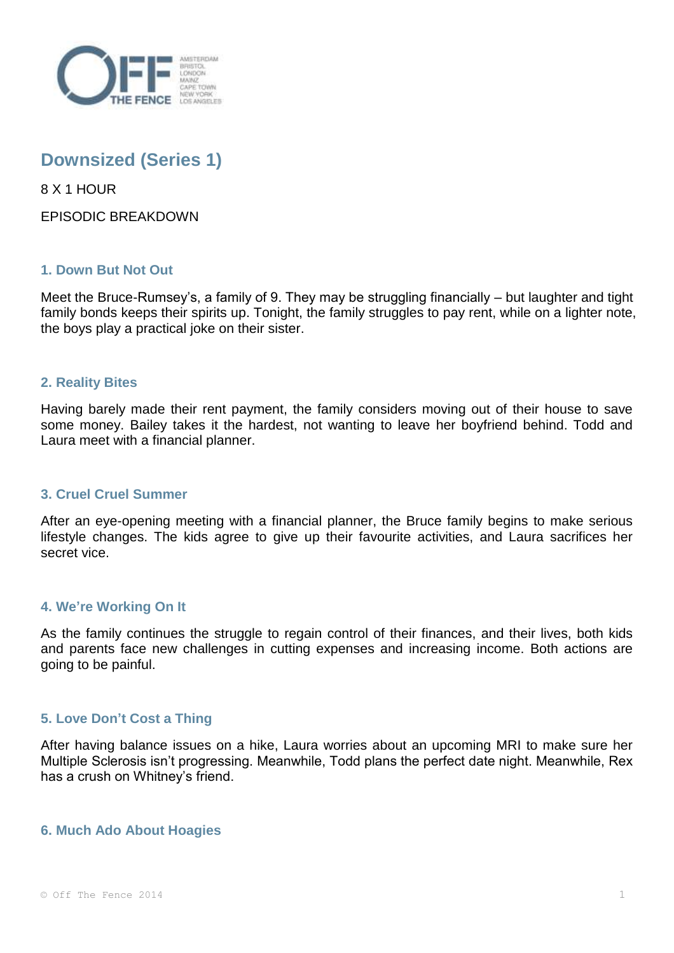

# **Downsized (Series 1)**

8 X 1 HOUR

EPISODIC BREAKDOWN

# **1. Down But Not Out**

Meet the Bruce-Rumsey's, a family of 9. They may be struggling financially – but laughter and tight family bonds keeps their spirits up. Tonight, the family struggles to pay rent, while on a lighter note, the boys play a practical joke on their sister.

### **2. Reality Bites**

Having barely made their rent payment, the family considers moving out of their house to save some money. Bailey takes it the hardest, not wanting to leave her boyfriend behind. Todd and Laura meet with a financial planner.

### **3. Cruel Cruel Summer**

After an eye-opening meeting with a financial planner, the Bruce family begins to make serious lifestyle changes. The kids agree to give up their favourite activities, and Laura sacrifices her secret vice.

### **4. We're Working On It**

As the family continues the struggle to regain control of their finances, and their lives, both kids and parents face new challenges in cutting expenses and increasing income. Both actions are going to be painful.

# **5. Love Don't Cost a Thing**

After having balance issues on a hike, Laura worries about an upcoming MRI to make sure her Multiple Sclerosis isn't progressing. Meanwhile, Todd plans the perfect date night. Meanwhile, Rex has a crush on Whitney's friend.

### **6. Much Ado About Hoagies**